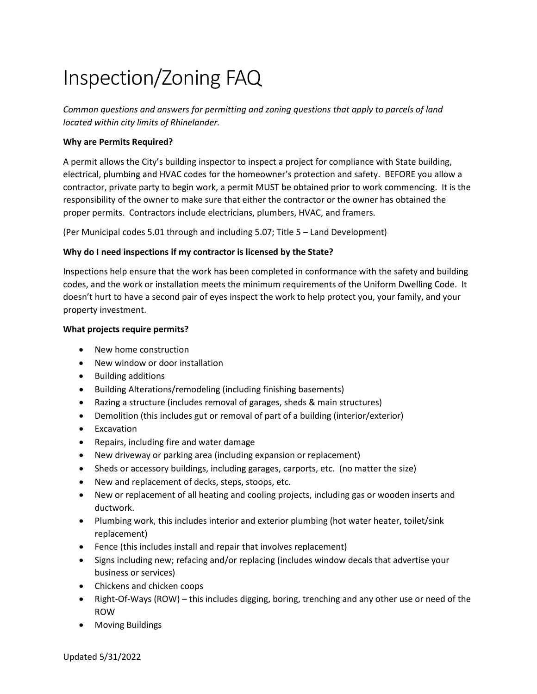# Inspection/Zoning FAQ

*Common questions and answers for permitting and zoning questions that apply to parcels of land located within city limits of Rhinelander.* 

## **Why are Permits Required?**

A permit allows the City's building inspector to inspect a project for compliance with State building, electrical, plumbing and HVAC codes for the homeowner's protection and safety. BEFORE you allow a contractor, private party to begin work, a permit MUST be obtained prior to work commencing. It is the responsibility of the owner to make sure that either the contractor or the owner has obtained the proper permits. Contractors include electricians, plumbers, HVAC, and framers.

(Per Municipal codes 5.01 through and including 5.07; Title 5 – Land Development)

#### **Why do I need inspections if my contractor is licensed by the State?**

Inspections help ensure that the work has been completed in conformance with the safety and building codes, and the work or installation meets the minimum requirements of the Uniform Dwelling Code. It doesn't hurt to have a second pair of eyes inspect the work to help protect you, your family, and your property investment.

#### **What projects require permits?**

- New home construction
- New window or door installation
- Building additions
- Building Alterations/remodeling (including finishing basements)
- Razing a structure (includes removal of garages, sheds & main structures)
- Demolition (this includes gut or removal of part of a building (interior/exterior)
- Excavation
- Repairs, including fire and water damage
- New driveway or parking area (including expansion or replacement)
- Sheds or accessory buildings, including garages, carports, etc. (no matter the size)
- New and replacement of decks, steps, stoops, etc.
- New or replacement of all heating and cooling projects, including gas or wooden inserts and ductwork.
- Plumbing work, this includes interior and exterior plumbing (hot water heater, toilet/sink replacement)
- Fence (this includes install and repair that involves replacement)
- Signs including new; refacing and/or replacing (includes window decals that advertise your business or services)
- Chickens and chicken coops
- Right-Of-Ways (ROW) this includes digging, boring, trenching and any other use or need of the ROW
- Moving Buildings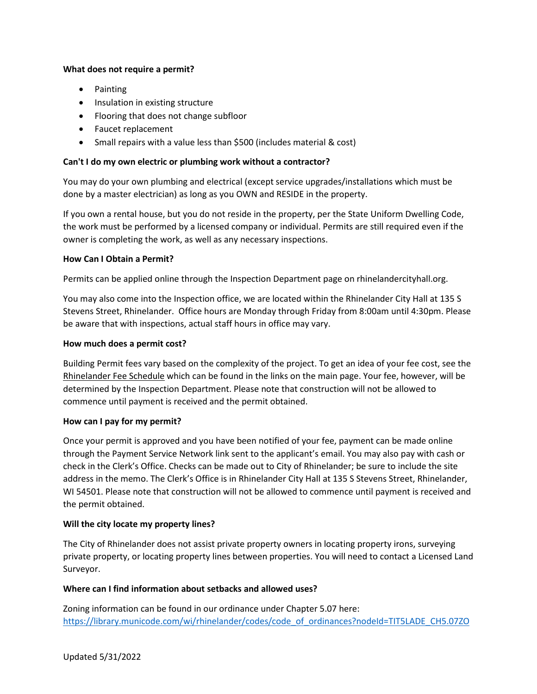#### **What does not require a permit?**

- Painting
- Insulation in existing structure
- Flooring that does not change subfloor
- Faucet replacement
- Small repairs with a value less than \$500 (includes material & cost)

### **Can't I do my own electric or plumbing work without a contractor?**

You may do your own plumbing and electrical (except service upgrades/installations which must be done by a master electrician) as long as you OWN and RESIDE in the property.

If you own a rental house, but you do not reside in the property, per the State Uniform Dwelling Code, the work must be performed by a licensed company or individual. Permits are still required even if the owner is completing the work, as well as any necessary inspections.

#### **How Can I Obtain a Permit?**

Permits can be applied online through the Inspection Department page on rhinelandercityhall.org.

You may also come into the Inspection office, we are located within the Rhinelander City Hall at 135 S Stevens Street, Rhinelander. Office hours are Monday through Friday from 8:00am until 4:30pm. Please be aware that with inspections, actual staff hours in office may vary.

#### **How much does a permit cost?**

Building Permit fees vary based on the complexity of the project. To get an idea of your fee cost, see the Rhinelander Fee Schedule which can be found in the links on the main page. Your fee, however, will be determined by the Inspection Department. Please note that construction will not be allowed to commence until payment is received and the permit obtained.

#### **How can I pay for my permit?**

Once your permit is approved and you have been notified of your fee, payment can be made online through the Payment Service Network link sent to the applicant's email. You may also pay with cash or check in the Clerk's Office. Checks can be made out to City of Rhinelander; be sure to include the site address in the memo. The Clerk's Office is in Rhinelander City Hall at 135 S Stevens Street, Rhinelander, WI 54501. Please note that construction will not be allowed to commence until payment is received and the permit obtained.

#### **Will the city locate my property lines?**

The City of Rhinelander does not assist private property owners in locating property irons, surveying private property, or locating property lines between properties. You will need to contact a Licensed Land Surveyor.

#### **Where can I find information about setbacks and allowed uses?**

Zoning information can be found in our ordinance under Chapter 5.07 here: https://library.municode.com/wi/rhinelander/codes/code\_of\_ordinances?nodeId=TIT5LADE\_CH5.07ZO